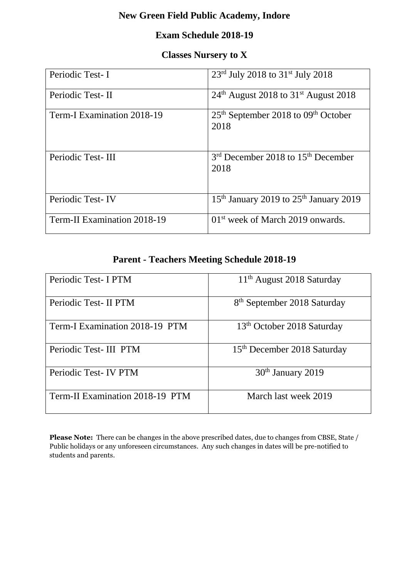# **New Green Field Public Academy, Indore**

### **Exam Schedule 2018-19**

#### **Classes Nursery to X**

| Periodic Test-I             | $23^{\text{rd}}$ July 2018 to 31 <sup>st</sup> July 2018           |
|-----------------------------|--------------------------------------------------------------------|
| Periodic Test-II            | $24th$ August 2018 to 31 <sup>st</sup> August 2018                 |
| Term-I Examination 2018-19  | $25th$ September 2018 to 09 <sup>th</sup> October<br>2018          |
| Periodic Test-III           | 3 <sup>rd</sup> December 2018 to 15 <sup>th</sup> December<br>2018 |
| Periodic Test-IV            | 15 <sup>th</sup> January 2019 to 25 <sup>th</sup> January 2019     |
| Term-II Examination 2018-19 | $01st$ week of March 2019 onwards.                                 |

### **Parent - Teachers Meeting Schedule 2018-19**

| Periodic Test- I PTM            | $11th$ August 2018 Saturday             |
|---------------------------------|-----------------------------------------|
| Periodic Test- II PTM           | 8 <sup>th</sup> September 2018 Saturday |
| Term-I Examination 2018-19 PTM  | 13 <sup>th</sup> October 2018 Saturday  |
| Periodic Test-III PTM           | 15 <sup>th</sup> December 2018 Saturday |
| Periodic Test-IV PTM            | 30 <sup>th</sup> January 2019           |
| Term-II Examination 2018-19 PTM | March last week 2019                    |

**Please Note:** There can be changes in the above prescribed dates, due to changes from CBSE, State / Public holidays or any unforeseen circumstances. Any such changes in dates will be pre-notified to students and parents.